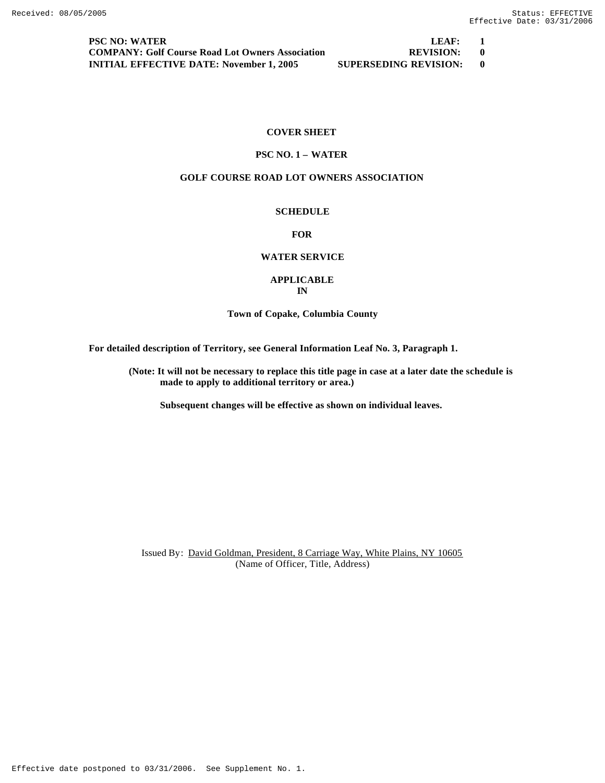**PSC NO: WATER LEAF:** 1 **COMPANY: Golf Course Road Lot Owners Association REVISION: 0 INITIAL EFFECTIVE DATE: November 1, 2005 SUPERSEDING REVISION: 0**

## **COVER SHEET**

# **PSC NO. 1 – WATER**

## **GOLF COURSE ROAD LOT OWNERS ASSOCIATION**

## **SCHEDULE**

## **FOR**

# **WATER SERVICE**

## **APPLICABLE IN**

## **Town of Copake, Columbia County**

**For detailed description of Territory, see General Information Leaf No. 3, Paragraph 1.**

**(Note: It will not be necessary to replace this title page in case at a later date the schedule is made to apply to additional territory or area.)**

**Subsequent changes will be effective as shown on individual leaves.**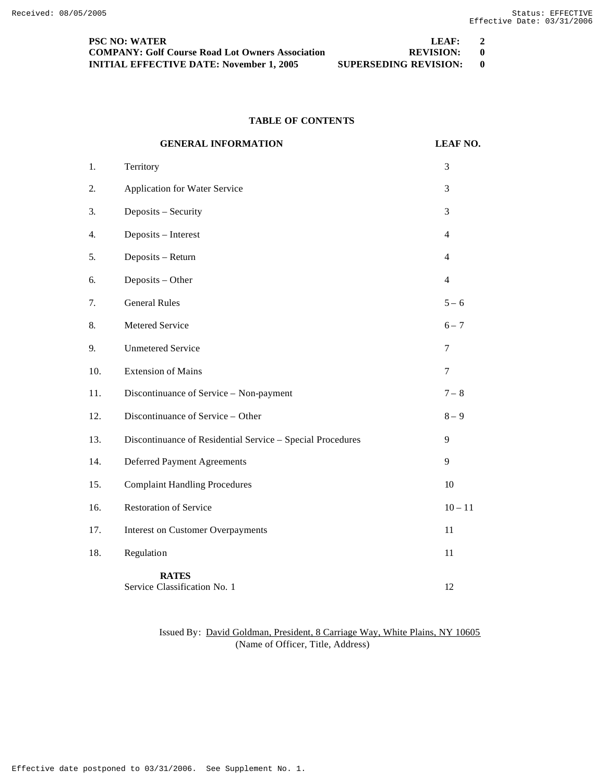| <b>PSC NO: WATER</b>                                    | LEAF:                 |  |
|---------------------------------------------------------|-----------------------|--|
| <b>COMPANY: Golf Course Road Lot Owners Association</b> | <b>REVISION:</b>      |  |
| <b>INITIAL EFFECTIVE DATE: November 1, 2005</b>         | SUPERSEDING REVISION: |  |

# **TABLE OF CONTENTS**

|     | <b>GENERAL INFORMATION</b>                                 | <b>LEAF NO.</b> |
|-----|------------------------------------------------------------|-----------------|
| 1.  | Territory                                                  | 3               |
| 2.  | <b>Application for Water Service</b>                       | 3               |
| 3.  | Deposits - Security                                        | 3               |
| 4.  | Deposits - Interest                                        | $\overline{4}$  |
| 5.  | Deposits - Return                                          | $\overline{4}$  |
| 6.  | Deposits - Other                                           | $\overline{4}$  |
| 7.  | <b>General Rules</b>                                       | $5 - 6$         |
| 8.  | Metered Service                                            | $6 - 7$         |
| 9.  | <b>Unmetered Service</b>                                   | $\tau$          |
| 10. | <b>Extension of Mains</b>                                  | 7               |
| 11. | Discontinuance of Service - Non-payment                    | $7 - 8$         |
| 12. | Discontinuance of Service - Other                          | $8-9$           |
| 13. | Discontinuance of Residential Service - Special Procedures | 9               |
| 14. | <b>Deferred Payment Agreements</b>                         | 9               |
| 15. | <b>Complaint Handling Procedures</b>                       | 10              |
| 16. | <b>Restoration of Service</b>                              | $10 - 11$       |
| 17. | <b>Interest on Customer Overpayments</b>                   | 11              |
| 18. | Regulation                                                 | 11              |
|     | <b>RATES</b><br>Service Classification No. 1               | 12              |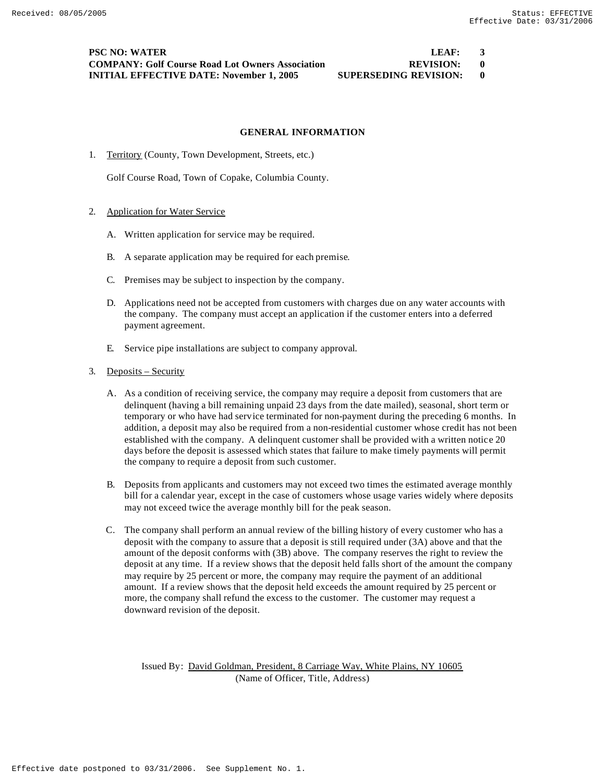## **PSC NO: WATER LEAF: 3 COMPANY: Golf Course Road Lot Owners Association REVISION: 0 INITIAL EFFECTIVE DATE: November 1, 2005 SUPERSEDING REVISION: 0**

#### **GENERAL INFORMATION**

1. Territory (County, Town Development, Streets, etc.)

Golf Course Road, Town of Copake, Columbia County.

- 2. Application for Water Service
	- A. Written application for service may be required.
	- B. A separate application may be required for each premise.
	- C. Premises may be subject to inspection by the company.
	- D. Applications need not be accepted from customers with charges due on any water accounts with the company. The company must accept an application if the customer enters into a deferred payment agreement.
	- E. Service pipe installations are subject to company approval.
- 3. Deposits Security
	- A. As a condition of receiving service, the company may require a deposit from customers that are delinquent (having a bill remaining unpaid 23 days from the date mailed), seasonal, short term or temporary or who have had service terminated for non-payment during the preceding 6 months. In addition, a deposit may also be required from a non-residential customer whose credit has not been established with the company. A delinquent customer shall be provided with a written notice 20 days before the deposit is assessed which states that failure to make timely payments will permit the company to require a deposit from such customer.
	- B. Deposits from applicants and customers may not exceed two times the estimated average monthly bill for a calendar year, except in the case of customers whose usage varies widely where deposits may not exceed twice the average monthly bill for the peak season.
	- C. The company shall perform an annual review of the billing history of every customer who has a deposit with the company to assure that a deposit is still required under (3A) above and that the amount of the deposit conforms with (3B) above. The company reserves the right to review the deposit at any time. If a review shows that the deposit held falls short of the amount the company may require by 25 percent or more, the company may require the payment of an additional amount. If a review shows that the deposit held exceeds the amount required by 25 percent or more, the company shall refund the excess to the customer. The customer may request a downward revision of the deposit.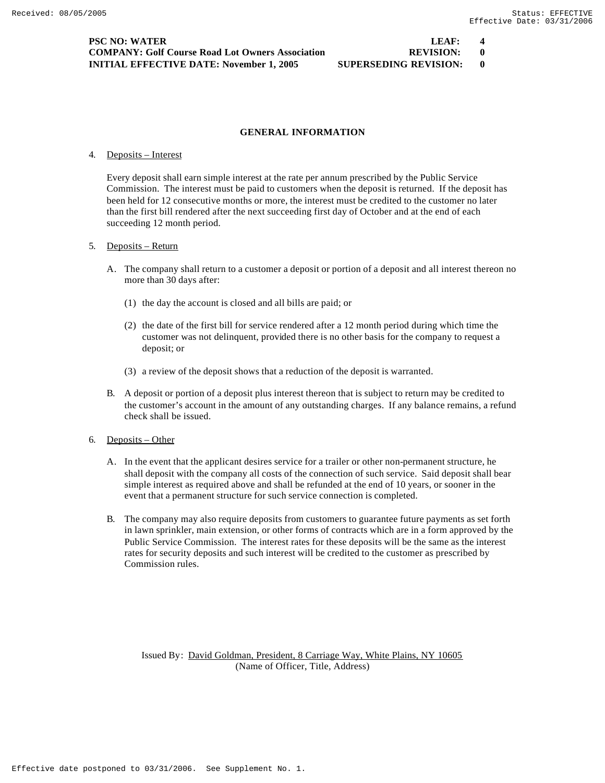#### **GENERAL INFORMATION**

#### 4. Deposits – Interest

Every deposit shall earn simple interest at the rate per annum prescribed by the Public Service Commission. The interest must be paid to customers when the deposit is returned. If the deposit has been held for 12 consecutive months or more, the interest must be credited to the customer no later than the first bill rendered after the next succeeding first day of October and at the end of each succeeding 12 month period.

#### 5. Deposits – Return

- A. The company shall return to a customer a deposit or portion of a deposit and all interest thereon no more than 30 days after:
	- (1) the day the account is closed and all bills are paid; or
	- (2) the date of the first bill for service rendered after a 12 month period during which time the customer was not delinquent, provided there is no other basis for the company to request a deposit; or
	- (3) a review of the deposit shows that a reduction of the deposit is warranted.
- B. A deposit or portion of a deposit plus interest thereon that is subject to return may be credited to the customer's account in the amount of any outstanding charges. If any balance remains, a refund check shall be issued.
- 6. Deposits Other
	- A. In the event that the applicant desires service for a trailer or other non-permanent structure, he shall deposit with the company all costs of the connection of such service. Said deposit shall bear simple interest as required above and shall be refunded at the end of 10 years, or sooner in the event that a permanent structure for such service connection is completed.
	- B. The company may also require deposits from customers to guarantee future payments as set forth in lawn sprinkler, main extension, or other forms of contracts which are in a form approved by the Public Service Commission. The interest rates for these deposits will be the same as the interest rates for security deposits and such interest will be credited to the customer as prescribed by Commission rules.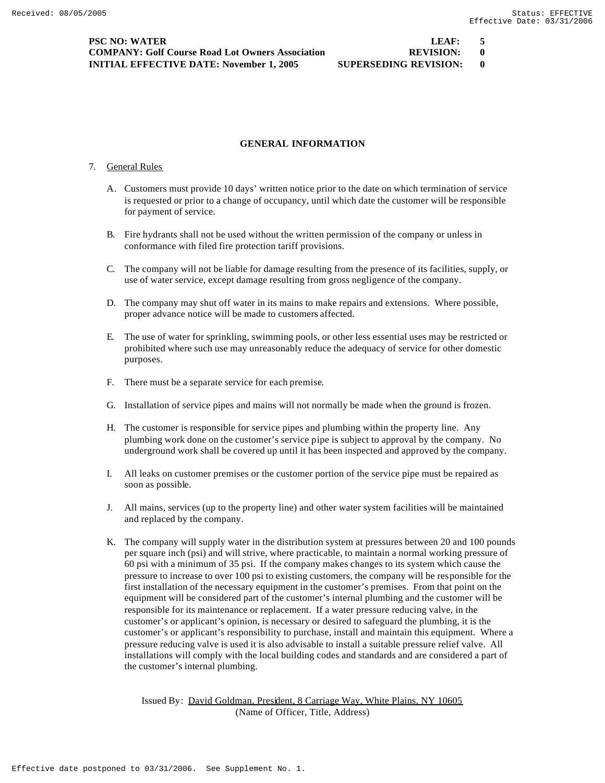### **GENERAL INFORMATION**

#### 7. General Rules

- A. Customers must provide 10 days' written notice prior to the date on which termination of service is requested or prior to a change of occupancy, until which date the customer will be responsible for payment of service.
- B. Fire hydrants shall not be used without the written permission of the company or unless in conformance with filed fire protection tariff provisions.
- C. The company will not be liable for damage resulting from the presence of its facilities, supply, or use of water service, except damage resulting from gross negligence of the company.
- D. The company may shut off water in its mains to make repairs and extensions. Where possible, proper advance notice will be made to customers affected.
- E. The use of water for sprinkling, swimming pools, or other less essential uses may be restricted or prohibited where such use may unreasonably reduce the adequacy of service for other domestic purposes.
- F. There must be a separate service for each premise.
- G. Installation of service pipes and mains will not normally be made when the ground is frozen.
- H. The customer is responsible for service pipes and plumbing within the property line. Any plumbing work done on the customer's service pipe is subject to approval by the company. No underground work shall be covered up until it has been inspected and approved by the company.
- I. All leaks on customer premises or the customer portion of the service pipe must be repaired as soon as possible.
- J. All mains, services (up to the property line) and other water system facilities will be maintained and replaced by the company.
- K. The company will supply water in the distribution system at pressures between 20 and 100 pounds per square inch (psi) and will strive, where practicable, to maintain a normal working pressure of 60 psi with a minimum of 35 psi. If the company makes changes to its system which cause the pressure to increase to over 100 psi to existing customers, the company will be responsible for the first installation of the necessary equipment in the customer's premises. From that point on the equipment will be considered part of the customer's internal plumbing and the customer will be responsible for its maintenance or replacement. If a water pressure reducing valve, in the customer's or applicant's opinion, is necessary or desired to safeguard the plumbing, it is the customer's or applicant's responsibility to purchase, install and maintain this equipment. Where a pressure reducing valve is used it is also advisable to install a suitable pressure relief valve. All installations will comply with the local building codes and standards and are considered a part of the customer's internal plumbing.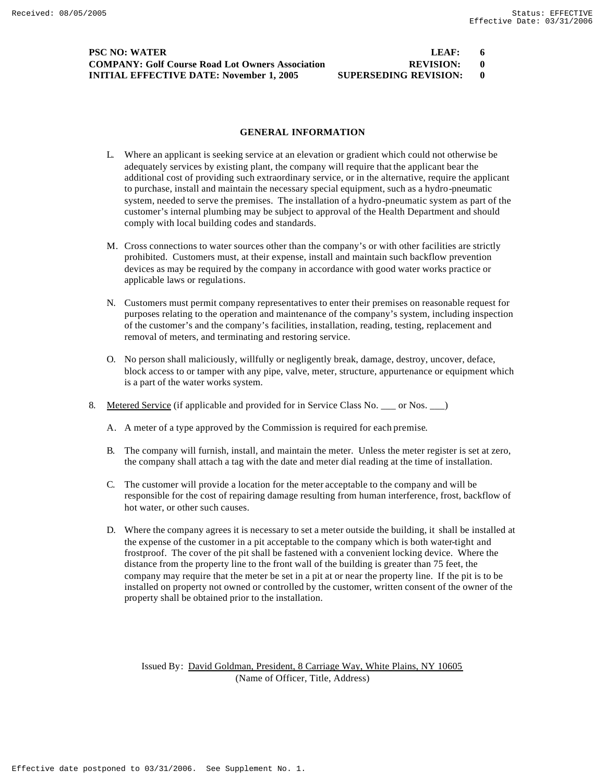## **PSC NO: WATER COMPANY: Golf Course Road Lot Owners Association INITIAL EFFECTIVE DATE: November 1, 2005 SUPERSEDING REVISION: 0**

| LEAF:                |  |
|----------------------|--|
| <b>REVISION:</b>     |  |
| HPERSEDING REVISION· |  |

#### **GENERAL INFORMATION**

- L. Where an applicant is seeking service at an elevation or gradient which could not otherwise be adequately services by existing plant, the company will require that the applicant bear the additional cost of providing such extraordinary service, or in the alternative, require the applicant to purchase, install and maintain the necessary special equipment, such as a hydro-pneumatic system, needed to serve the premises. The installation of a hydro-pneumatic system as part of the customer's internal plumbing may be subject to approval of the Health Department and should comply with local building codes and standards.
- M. Cross connections to water sources other than the company's or with other facilities are strictly prohibited. Customers must, at their expense, install and maintain such backflow prevention devices as may be required by the company in accordance with good water works practice or applicable laws or regulations.
- N. Customers must permit company representatives to enter their premises on reasonable request for purposes relating to the operation and maintenance of the company's system, including inspection of the customer's and the company's facilities, installation, reading, testing, replacement and removal of meters, and terminating and restoring service.
- O. No person shall maliciously, willfully or negligently break, damage, destroy, uncover, deface, block access to or tamper with any pipe, valve, meter, structure, appurtenance or equipment which is a part of the water works system.
- 8. Metered Service (if applicable and provided for in Service Class No. \_\_\_ or Nos. \_\_)
	- A. A meter of a type approved by the Commission is required for each premise.
	- B. The company will furnish, install, and maintain the meter. Unless the meter register is set at zero, the company shall attach a tag with the date and meter dial reading at the time of installation.
	- C. The customer will provide a location for the meter acceptable to the company and will be responsible for the cost of repairing damage resulting from human interference, frost, backflow of hot water, or other such causes.
	- D. Where the company agrees it is necessary to set a meter outside the building, it shall be installed at the expense of the customer in a pit acceptable to the company which is both water-tight and frostproof. The cover of the pit shall be fastened with a convenient locking device. Where the distance from the property line to the front wall of the building is greater than 75 feet, the company may require that the meter be set in a pit at or near the property line. If the pit is to be installed on property not owned or controlled by the customer, written consent of the owner of the property shall be obtained prior to the installation.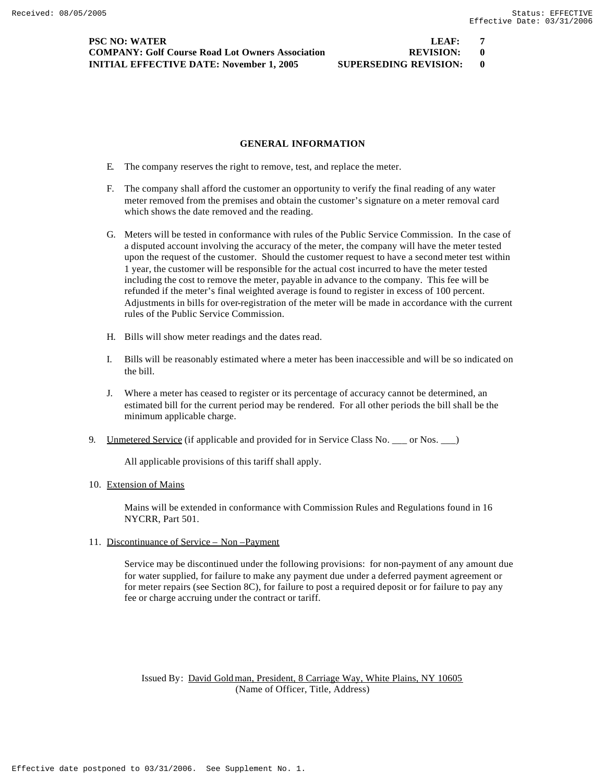**PSC NO: WATER LEAF: 7 COMPANY: Golf Course Road Lot Owners Association 6 REVISION: 0 INITIAL EFFECTIVE DATE: November 1, 2005 SUPERSEDING REVISION: 0**

### **GENERAL INFORMATION**

- E. The company reserves the right to remove, test, and replace the meter.
- F. The company shall afford the customer an opportunity to verify the final reading of any water meter removed from the premises and obtain the customer's signature on a meter removal card which shows the date removed and the reading.
- G. Meters will be tested in conformance with rules of the Public Service Commission. In the case of a disputed account involving the accuracy of the meter, the company will have the meter tested upon the request of the customer. Should the customer request to have a second meter test within 1 year, the customer will be responsible for the actual cost incurred to have the meter tested including the cost to remove the meter, payable in advance to the company. This fee will be refunded if the meter's final weighted average is found to register in excess of 100 percent. Adjustments in bills for over-registration of the meter will be made in accordance with the current rules of the Public Service Commission.
- H. Bills will show meter readings and the dates read.
- I. Bills will be reasonably estimated where a meter has been inaccessible and will be so indicated on the bill.
- J. Where a meter has ceased to register or its percentage of accuracy cannot be determined, an estimated bill for the current period may be rendered. For all other periods the bill shall be the minimum applicable charge.
- 9. Unmetered Service (if applicable and provided for in Service Class No. \_\_\_ or Nos. \_\_\_)

All applicable provisions of this tariff shall apply.

#### 10. Extension of Mains

Mains will be extended in conformance with Commission Rules and Regulations found in 16 NYCRR, Part 501.

11. Discontinuance of Service – Non –Payment

Service may be discontinued under the following provisions: for non-payment of any amount due for water supplied, for failure to make any payment due under a deferred payment agreement or for meter repairs (see Section 8C), for failure to post a required deposit or for failure to pay any fee or charge accruing under the contract or tariff.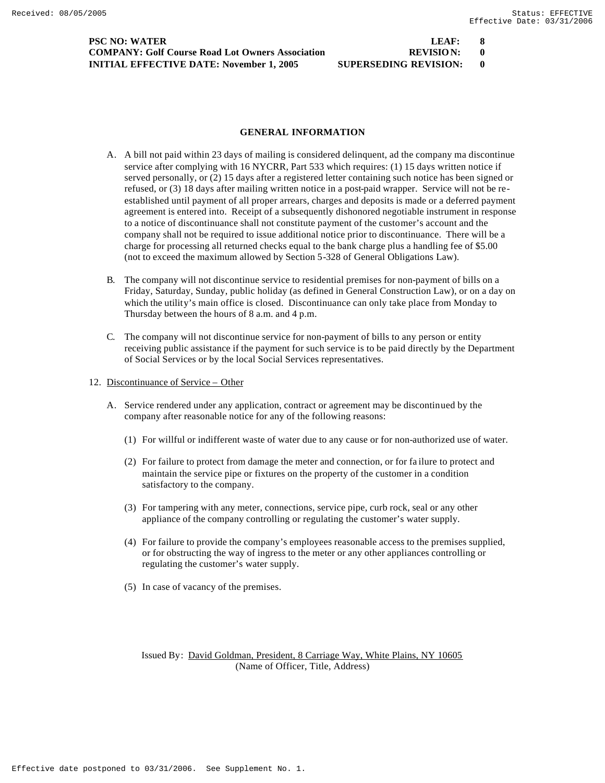**PSC NO: WATER LEAF: 8 COMPANY: Golf Course Road Lot Owners Association 6 <b>REVISION:** 0 **INITIAL EFFECTIVE DATE: November 1, 2005 SUPERSEDING REVISION: 0**

#### **GENERAL INFORMATION**

- A. A bill not paid within 23 days of mailing is considered delinquent, ad the company ma discontinue service after complying with 16 NYCRR, Part 533 which requires: (1) 15 days written notice if served personally, or (2) 15 days after a registered letter containing such notice has been signed or refused, or (3) 18 days after mailing written notice in a post-paid wrapper. Service will not be reestablished until payment of all proper arrears, charges and deposits is made or a deferred payment agreement is entered into. Receipt of a subsequently dishonored negotiable instrument in response to a notice of discontinuance shall not constitute payment of the customer's account and the company shall not be required to issue additional notice prior to discontinuance. There will be a charge for processing all returned checks equal to the bank charge plus a handling fee of \$5.00 (not to exceed the maximum allowed by Section 5-328 of General Obligations Law).
- B. The company will not discontinue service to residential premises for non-payment of bills on a Friday, Saturday, Sunday, public holiday (as defined in General Construction Law), or on a day on which the utility's main office is closed. Discontinuance can only take place from Monday to Thursday between the hours of 8 a.m. and 4 p.m.
- C. The company will not discontinue service for non-payment of bills to any person or entity receiving public assistance if the payment for such service is to be paid directly by the Department of Social Services or by the local Social Services representatives.
- 12. Discontinuance of Service Other
	- A. Service rendered under any application, contract or agreement may be discontinued by the company after reasonable notice for any of the following reasons:
		- (1) For willful or indifferent waste of water due to any cause or for non-authorized use of water.
		- (2) For failure to protect from damage the meter and connection, or for fa ilure to protect and maintain the service pipe or fixtures on the property of the customer in a condition satisfactory to the company.
		- (3) For tampering with any meter, connections, service pipe, curb rock, seal or any other appliance of the company controlling or regulating the customer's water supply.
		- (4) For failure to provide the company's employees reasonable access to the premises supplied, or for obstructing the way of ingress to the meter or any other appliances controlling or regulating the customer's water supply.
		- (5) In case of vacancy of the premises.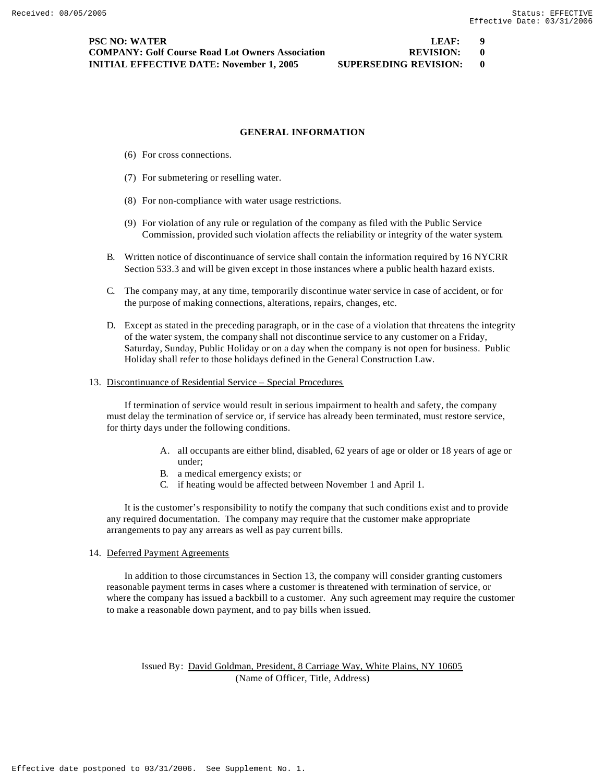### **GENERAL INFORMATION**

- (6) For cross connections.
- (7) For submetering or reselling water.
- (8) For non-compliance with water usage restrictions.
- (9) For violation of any rule or regulation of the company as filed with the Public Service Commission, provided such violation affects the reliability or integrity of the water system.
- B. Written notice of discontinuance of service shall contain the information required by 16 NYCRR Section 533.3 and will be given except in those instances where a public health hazard exists.
- C. The company may, at any time, temporarily discontinue water service in case of accident, or for the purpose of making connections, alterations, repairs, changes, etc.
- D. Except as stated in the preceding paragraph, or in the case of a violation that threatens the integrity of the water system, the company shall not discontinue service to any customer on a Friday, Saturday, Sunday, Public Holiday or on a day when the company is not open for business. Public Holiday shall refer to those holidays defined in the General Construction Law.
- 13. Discontinuance of Residential Service Special Procedures

If termination of service would result in serious impairment to health and safety, the company must delay the termination of service or, if service has already been terminated, must restore service, for thirty days under the following conditions.

- A. all occupants are either blind, disabled, 62 years of age or older or 18 years of age or under;
- B. a medical emergency exists; or
- C. if heating would be affected between November 1 and April 1.

It is the customer's responsibility to notify the company that such conditions exist and to provide any required documentation. The company may require that the customer make appropriate arrangements to pay any arrears as well as pay current bills.

#### 14. Deferred Payment Agreements

In addition to those circumstances in Section 13, the company will consider granting customers reasonable payment terms in cases where a customer is threatened with termination of service, or where the company has issued a backbill to a customer. Any such agreement may require the customer to make a reasonable down payment, and to pay bills when issued.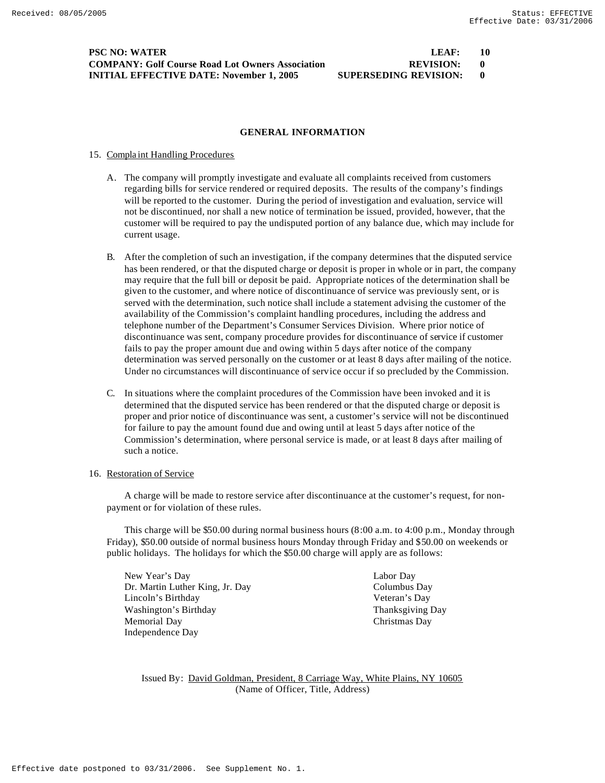## **PSC NO: WATER COMPANY: Golf Course Road Lot Owners Association INITIAL EFFECTIVE DATE: November 1, 2005 SU**

| LEAF:                | 10 |
|----------------------|----|
| <b>REVISION:</b>     |    |
| UPERSEDING REVISION: |    |

#### **GENERAL INFORMATION**

#### 15. Compla int Handling Procedures

- A. The company will promptly investigate and evaluate all complaints received from customers regarding bills for service rendered or required deposits. The results of the company's findings will be reported to the customer. During the period of investigation and evaluation, service will not be discontinued, nor shall a new notice of termination be issued, provided, however, that the customer will be required to pay the undisputed portion of any balance due, which may include for current usage.
- B. After the completion of such an investigation, if the company determines that the disputed service has been rendered, or that the disputed charge or deposit is proper in whole or in part, the company may require that the full bill or deposit be paid. Appropriate notices of the determination shall be given to the customer, and where notice of discontinuance of service was previously sent, or is served with the determination, such notice shall include a statement advising the customer of the availability of the Commission's complaint handling procedures, including the address and telephone number of the Department's Consumer Services Division. Where prior notice of discontinuance was sent, company procedure provides for discontinuance of service if customer fails to pay the proper amount due and owing within 5 days after notice of the company determination was served personally on the customer or at least 8 days after mailing of the notice. Under no circumstances will discontinuance of service occur if so precluded by the Commission.
- C. In situations where the complaint procedures of the Commission have been invoked and it is determined that the disputed service has been rendered or that the disputed charge or deposit is proper and prior notice of discontinuance was sent, a customer's service will not be discontinued for failure to pay the amount found due and owing until at least 5 days after notice of the Commission's determination, where personal service is made, or at least 8 days after mailing of such a notice.

#### 16. Restoration of Service

A charge will be made to restore service after discontinuance at the customer's request, for nonpayment or for violation of these rules.

This charge will be \$50.00 during normal business hours (8:00 a.m. to 4:00 p.m., Monday through Friday), \$50.00 outside of normal business hours Monday through Friday and \$50.00 on weekends or public holidays. The holidays for which the \$50.00 charge will apply are as follows:

New Year's Day Labor Day Dr. Martin Luther King, Jr. Day Columbus Day Lincoln's Birthday Veteran's Day Washington's Birthday Thanksgiving Day Memorial Day Christmas Day Independence Day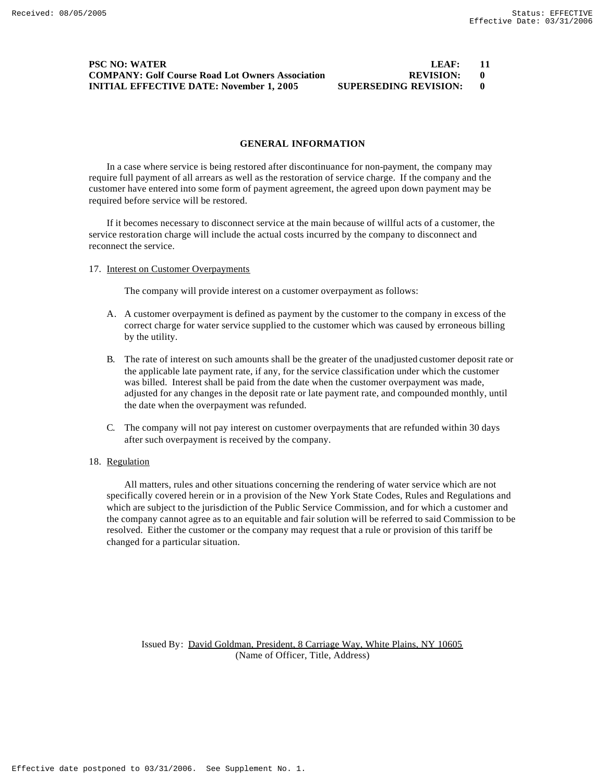## **PSC NO: WATER COMPANY: Golf Course Road Lot Owners Association INITIAL EFFECTIVE DATE: November 1, 2005 SU**

| LEAF:                |  |
|----------------------|--|
| <b>REVISION:</b>     |  |
| IPERSEDING REVISION: |  |

#### **GENERAL INFORMATION**

In a case where service is being restored after discontinuance for non-payment, the company may require full payment of all arrears as well as the restoration of service charge. If the company and the customer have entered into some form of payment agreement, the agreed upon down payment may be required before service will be restored.

If it becomes necessary to disconnect service at the main because of willful acts of a customer, the service restoration charge will include the actual costs incurred by the company to disconnect and reconnect the service.

#### 17. Interest on Customer Overpayments

The company will provide interest on a customer overpayment as follows:

- A. A customer overpayment is defined as payment by the customer to the company in excess of the correct charge for water service supplied to the customer which was caused by erroneous billing by the utility.
- B. The rate of interest on such amounts shall be the greater of the unadjusted customer deposit rate or the applicable late payment rate, if any, for the service classification under which the customer was billed. Interest shall be paid from the date when the customer overpayment was made, adjusted for any changes in the deposit rate or late payment rate, and compounded monthly, until the date when the overpayment was refunded.
- C. The company will not pay interest on customer overpayments that are refunded within 30 days after such overpayment is received by the company.

#### 18. Regulation

All matters, rules and other situations concerning the rendering of water service which are not specifically covered herein or in a provision of the New York State Codes, Rules and Regulations and which are subject to the jurisdiction of the Public Service Commission, and for which a customer and the company cannot agree as to an equitable and fair solution will be referred to said Commission to be resolved. Either the customer or the company may request that a rule or provision of this tariff be changed for a particular situation.